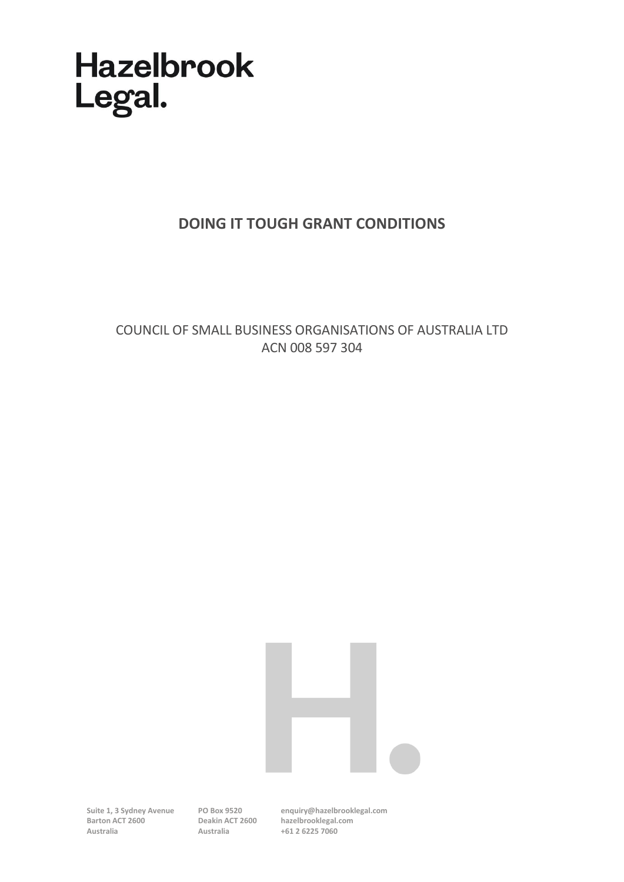# **Hazelbrook** Legal.

# **DOING IT TOUGH GRANT CONDITIONS**

COUNCIL OF SMALL BUSINESS ORGANISATIONS OF AUSTRALIA LTD ACN 008 597 304



**Suite 1, 3 Sydney Avenue Barton ACT 2600 Australia**

**PO Box 9520 Australia**

**Deakin ACT 2600 hazelbrooklegal.com enquiry@hazelbrooklegal.com +61 2 6225 7060**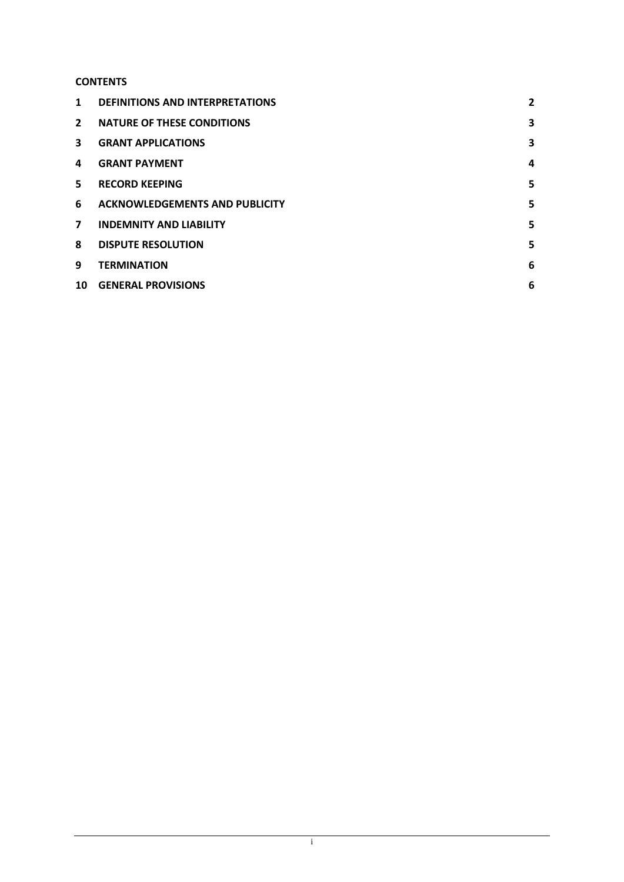# **CONTENTS**

| $\mathbf 1$    | <b>DEFINITIONS AND INTERPRETATIONS</b> | 2 |
|----------------|----------------------------------------|---|
| $\overline{2}$ | <b>NATURE OF THESE CONDITIONS</b>      | 3 |
| 3              | <b>GRANT APPLICATIONS</b>              | 3 |
| 4              | <b>GRANT PAYMENT</b>                   | 4 |
| 5              | <b>RECORD KEEPING</b>                  | 5 |
| 6              | <b>ACKNOWLEDGEMENTS AND PUBLICITY</b>  | 5 |
| $\overline{ }$ | <b>INDEMNITY AND LIABILITY</b>         | 5 |
| 8              | <b>DISPUTE RESOLUTION</b>              | 5 |
| 9              | <b>TERMINATION</b>                     | 6 |
| 10             | <b>GENERAL PROVISIONS</b>              | 6 |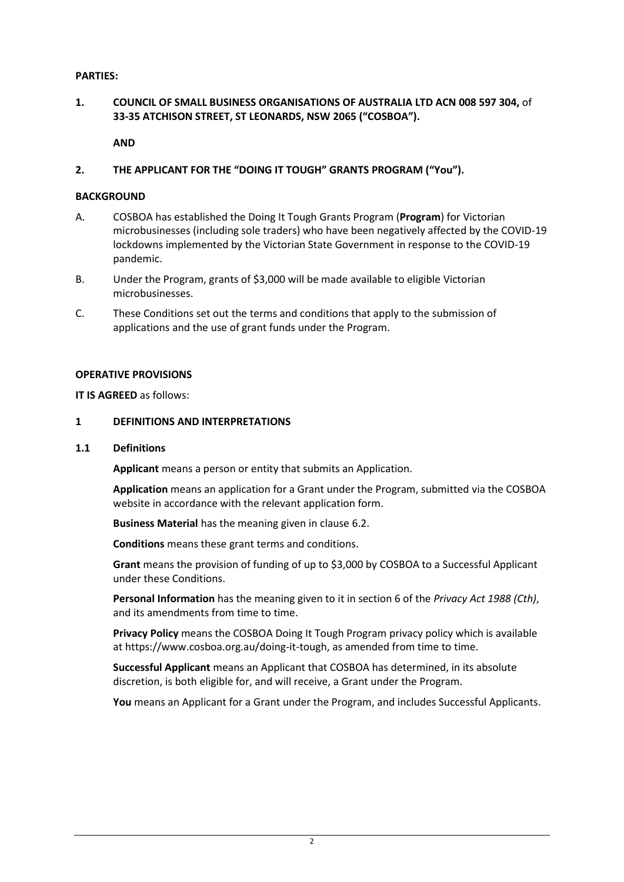#### **PARTIES:**

### **1. COUNCIL OF SMALL BUSINESS ORGANISATIONS OF AUSTRALIA LTD ACN 008 597 304,** of **33-35 ATCHISON STREET, ST LEONARDS, NSW 2065 ("COSBOA").**

**AND**

#### **2. THE APPLICANT FOR THE "DOING IT TOUGH" GRANTS PROGRAM ("You").**

#### **BACKGROUND**

- A. COSBOA has established the Doing It Tough Grants Program (**Program**) for Victorian microbusinesses (including sole traders) who have been negatively affected by the COVID-19 lockdowns implemented by the Victorian State Government in response to the COVID-19 pandemic.
- B. Under the Program, grants of \$3,000 will be made available to eligible Victorian microbusinesses.
- C. These Conditions set out the terms and conditions that apply to the submission of applications and the use of grant funds under the Program.

#### **OPERATIVE PROVISIONS**

**IT IS AGREED** as follows:

#### <span id="page-2-0"></span>**1 DEFINITIONS AND INTERPRETATIONS**

#### **1.1 Definitions**

**Applicant** means a person or entity that submits an Application.

**Application** means an application for a Grant under the Program, submitted via the COSBOA website in accordance with the relevant application form.

**Business Material** has the meaning given in claus[e 6.2.](#page-5-4)

**Conditions** means these grant terms and conditions.

**Grant** means the provision of funding of up to \$3,000 by COSBOA to a Successful Applicant under these Conditions.

**Personal Information** has the meaning given to it in section 6 of the *Privacy Act 1988 (Cth)*, and its amendments from time to time.

**Privacy Policy** means the COSBOA Doing It Tough Program privacy policy which is available at https://www.cosboa.org.au/doing-it-tough, as amended from time to time.

**Successful Applicant** means an Applicant that COSBOA has determined, in its absolute discretion, is both eligible for, and will receive, a Grant under the Program.

**You** means an Applicant for a Grant under the Program, and includes Successful Applicants.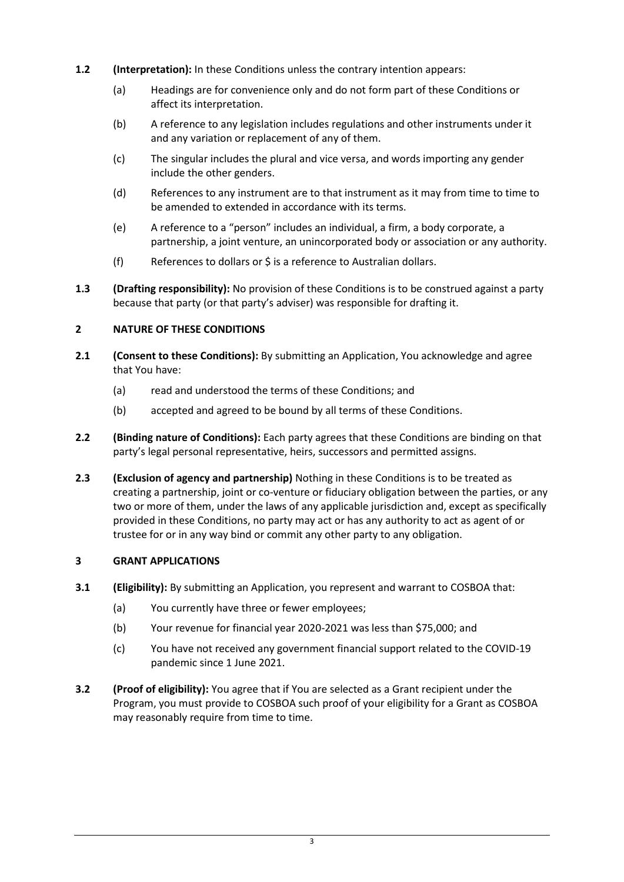- **1.2 (Interpretation):** In these Conditions unless the contrary intention appears:
	- (a) Headings are for convenience only and do not form part of these Conditions or affect its interpretation.
	- (b) A reference to any legislation includes regulations and other instruments under it and any variation or replacement of any of them.
	- (c) The singular includes the plural and vice versa, and words importing any gender include the other genders.
	- (d) References to any instrument are to that instrument as it may from time to time to be amended to extended in accordance with its terms.
	- (e) A reference to a "person" includes an individual, a firm, a body corporate, a partnership, a joint venture, an unincorporated body or association or any authority.
	- (f) References to dollars or \$ is a reference to Australian dollars.
- **1.3 (Drafting responsibility):** No provision of these Conditions is to be construed against a party because that party (or that party's adviser) was responsible for drafting it.

### <span id="page-3-0"></span>**2 NATURE OF THESE CONDITIONS**

- **2.1 (Consent to these Conditions):** By submitting an Application, You acknowledge and agree that You have:
	- (a) read and understood the terms of these Conditions; and
	- (b) accepted and agreed to be bound by all terms of these Conditions.
- **2.2 (Binding nature of Conditions):** Each party agrees that these Conditions are binding on that party's legal personal representative, heirs, successors and permitted assigns.
- **2.3 (Exclusion of agency and partnership)** Nothing in these Conditions is to be treated as creating a partnership, joint or co-venture or fiduciary obligation between the parties, or any two or more of them, under the laws of any applicable jurisdiction and, except as specifically provided in these Conditions, no party may act or has any authority to act as agent of or trustee for or in any way bind or commit any other party to any obligation.

### <span id="page-3-1"></span>**3 GRANT APPLICATIONS**

- **3.1 (Eligibility):** By submitting an Application, you represent and warrant to COSBOA that:
	- (a) You currently have three or fewer employees;
	- (b) Your revenue for financial year 2020-2021 was less than \$75,000; and
	- (c) You have not received any government financial support related to the COVID-19 pandemic since 1 June 2021.
- **3.2 (Proof of eligibility):** You agree that if You are selected as a Grant recipient under the Program, you must provide to COSBOA such proof of your eligibility for a Grant as COSBOA may reasonably require from time to time.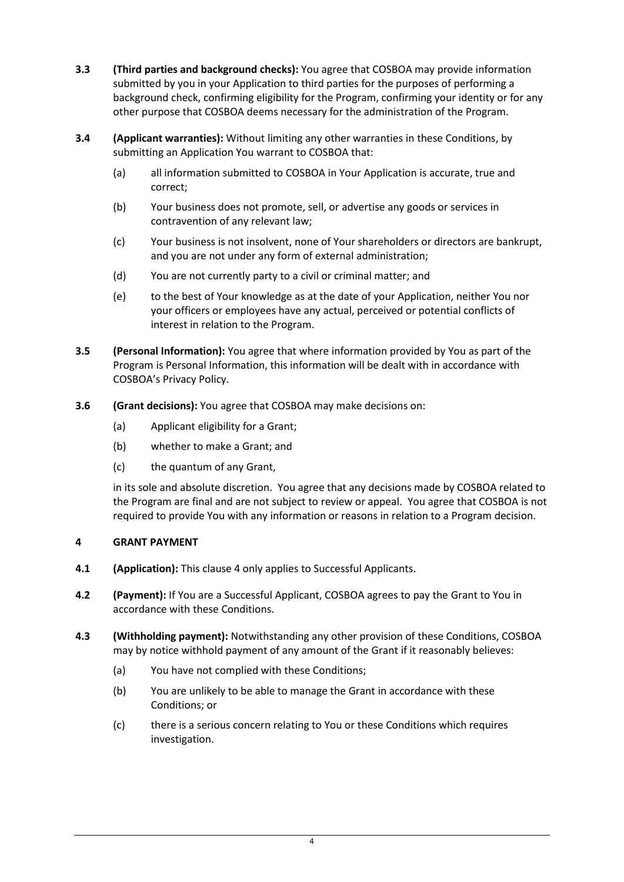- **3.3 (Third parties and background checks):** You agree that COSBOA may provide information submitted by you in your Application to third parties for the purposes of performing a background check, confirming eligibility for the Program, confirming your identity or for any other purpose that COSBOA deems necessary for the administration of the Program.
- **3.4 (Applicant warranties):** Without limiting any other warranties in these Conditions, by submitting an Application You warrant to COSBOA that:
	- (a) all information submitted to COSBOA in Your Application is accurate, true and correct;
	- (b) Your business does not promote, sell, or advertise any goods or services in contravention of any relevant law;
	- (c) Your business is not insolvent, none of Your shareholders or directors are bankrupt, and you are not under any form of external administration;
	- (d) You are not currently party to a civil or criminal matter; and
	- (e) to the best of Your knowledge as at the date of your Application, neither You nor your officers or employees have any actual, perceived or potential conflicts of interest in relation to the Program.
- **3.5 (Personal Information):** You agree that where information provided by You as part of the Program is Personal Information, this information will be dealt with in accordance with COSBOA's Privacy Policy.
- **3.6 (Grant decisions):** You agree that COSBOA may make decisions on:
	- (a) Applicant eligibility for a Grant;
	- (b) whether to make a Grant; and
	- (c) the quantum of any Grant,

in its sole and absolute discretion. You agree that any decisions made by COSBOA related to the Program are final and are not subject to review or appeal. You agree that COSBOA is not required to provide You with any information or reasons in relation to a Program decision.

### <span id="page-4-0"></span>**4 GRANT PAYMENT**

- **4.1 (Application):** This claus[e 4](#page-4-0) only applies to Successful Applicants.
- **4.2 (Payment):** If You are a Successful Applicant, COSBOA agrees to pay the Grant to You in accordance with these Conditions.
- <span id="page-4-1"></span>**4.3 (Withholding payment):** Notwithstanding any other provision of these Conditions, COSBOA may by notice withhold payment of any amount of the Grant if it reasonably believes:
	- (a) You have not complied with these Conditions;
	- (b) You are unlikely to be able to manage the Grant in accordance with these Conditions; or
	- (c) there is a serious concern relating to You or these Conditions which requires investigation.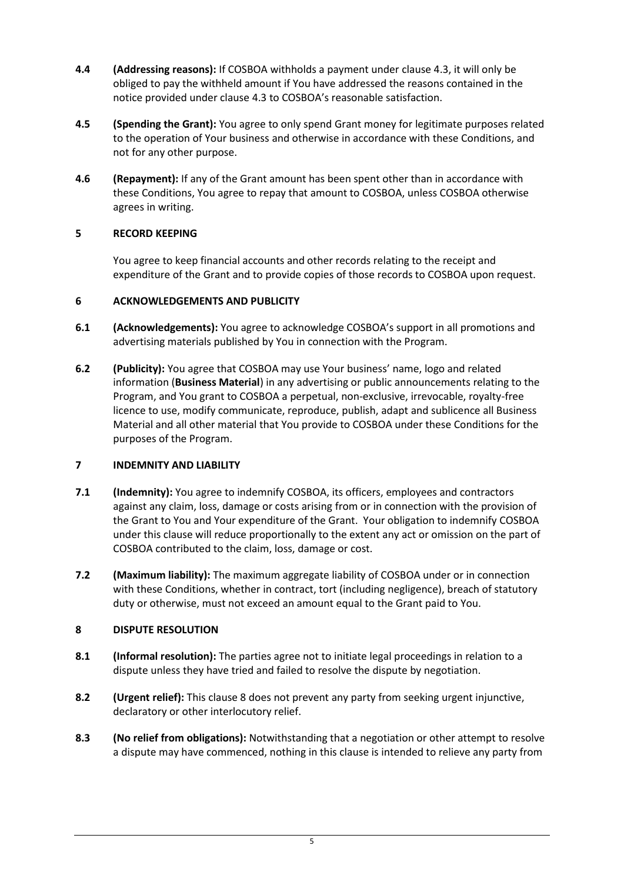- **4.4 (Addressing reasons):** If COSBOA withholds a payment under clause [4.3,](#page-4-1) it will only be obliged to pay the withheld amount if You have addressed the reasons contained in the notice provided under claus[e 4.3](#page-4-1) to COSBOA's reasonable satisfaction.
- **4.5 (Spending the Grant):** You agree to only spend Grant money for legitimate purposes related to the operation of Your business and otherwise in accordance with these Conditions, and not for any other purpose.
- **4.6 (Repayment):** If any of the Grant amount has been spent other than in accordance with these Conditions, You agree to repay that amount to COSBOA, unless COSBOA otherwise agrees in writing.

## <span id="page-5-0"></span>**5 RECORD KEEPING**

You agree to keep financial accounts and other records relating to the receipt and expenditure of the Grant and to provide copies of those records to COSBOA upon request.

### <span id="page-5-1"></span>**6 ACKNOWLEDGEMENTS AND PUBLICITY**

- **6.1 (Acknowledgements):** You agree to acknowledge COSBOA's support in all promotions and advertising materials published by You in connection with the Program.
- <span id="page-5-4"></span>**6.2 (Publicity):** You agree that COSBOA may use Your business' name, logo and related information (**Business Material**) in any advertising or public announcements relating to the Program, and You grant to COSBOA a perpetual, non-exclusive, irrevocable, royalty-free licence to use, modify communicate, reproduce, publish, adapt and sublicence all Business Material and all other material that You provide to COSBOA under these Conditions for the purposes of the Program.

### <span id="page-5-2"></span>**7 INDEMNITY AND LIABILITY**

- **7.1 (Indemnity):** You agree to indemnify COSBOA, its officers, employees and contractors against any claim, loss, damage or costs arising from or in connection with the provision of the Grant to You and Your expenditure of the Grant. Your obligation to indemnify COSBOA under this clause will reduce proportionally to the extent any act or omission on the part of COSBOA contributed to the claim, loss, damage or cost.
- **7.2 (Maximum liability):** The maximum aggregate liability of COSBOA under or in connection with these Conditions, whether in contract, tort (including negligence), breach of statutory duty or otherwise, must not exceed an amount equal to the Grant paid to You.

### <span id="page-5-3"></span>**8 DISPUTE RESOLUTION**

- **8.1 (Informal resolution):** The parties agree not to initiate legal proceedings in relation to a dispute unless they have tried and failed to resolve the dispute by negotiation.
- **8.2 (Urgent relief):** This clause [8](#page-5-3) does not prevent any party from seeking urgent injunctive, declaratory or other interlocutory relief.
- **8.3 (No relief from obligations):** Notwithstanding that a negotiation or other attempt to resolve a dispute may have commenced, nothing in this clause is intended to relieve any party from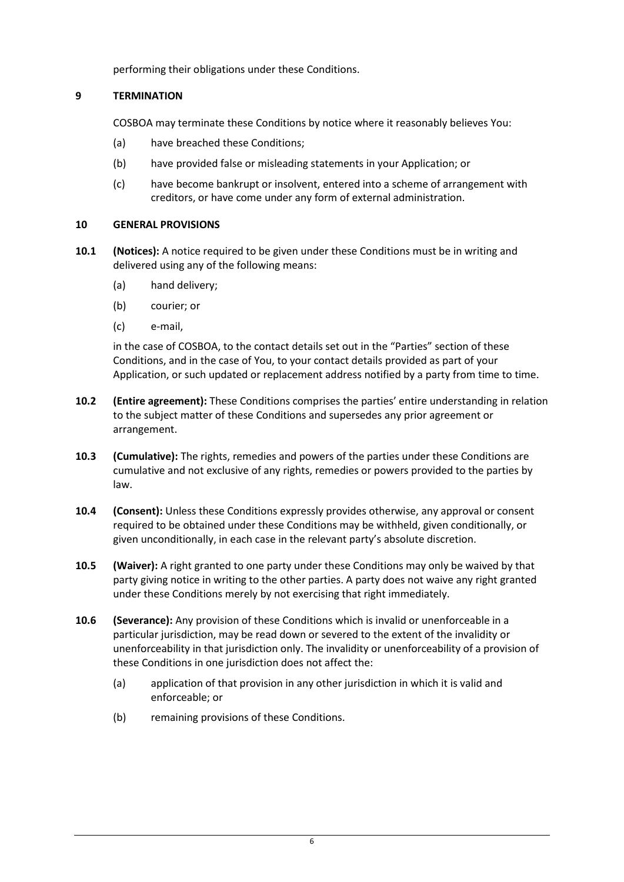performing their obligations under these Conditions.

# <span id="page-6-0"></span>**9 TERMINATION**

COSBOA may terminate these Conditions by notice where it reasonably believes You:

- (a) have breached these Conditions;
- (b) have provided false or misleading statements in your Application; or
- (c) have become bankrupt or insolvent, entered into a scheme of arrangement with creditors, or have come under any form of external administration.

### <span id="page-6-1"></span>**10 GENERAL PROVISIONS**

- **10.1 (Notices):** A notice required to be given under these Conditions must be in writing and delivered using any of the following means:
	- (a) hand delivery;
	- (b) courier; or
	- (c) e-mail,

in the case of COSBOA, to the contact details set out in the "Parties" section of these Conditions, and in the case of You, to your contact details provided as part of your Application, or such updated or replacement address notified by a party from time to time.

- **10.2 (Entire agreement):** These Conditions comprises the parties' entire understanding in relation to the subject matter of these Conditions and supersedes any prior agreement or arrangement.
- **10.3 (Cumulative):** The rights, remedies and powers of the parties under these Conditions are cumulative and not exclusive of any rights, remedies or powers provided to the parties by law.
- **10.4 (Consent):** Unless these Conditions expressly provides otherwise, any approval or consent required to be obtained under these Conditions may be withheld, given conditionally, or given unconditionally, in each case in the relevant party's absolute discretion.
- **10.5 (Waiver):** A right granted to one party under these Conditions may only be waived by that party giving notice in writing to the other parties. A party does not waive any right granted under these Conditions merely by not exercising that right immediately.
- **10.6 (Severance):** Any provision of these Conditions which is invalid or unenforceable in a particular jurisdiction, may be read down or severed to the extent of the invalidity or unenforceability in that jurisdiction only. The invalidity or unenforceability of a provision of these Conditions in one jurisdiction does not affect the:
	- (a) application of that provision in any other jurisdiction in which it is valid and enforceable; or
	- (b) remaining provisions of these Conditions.